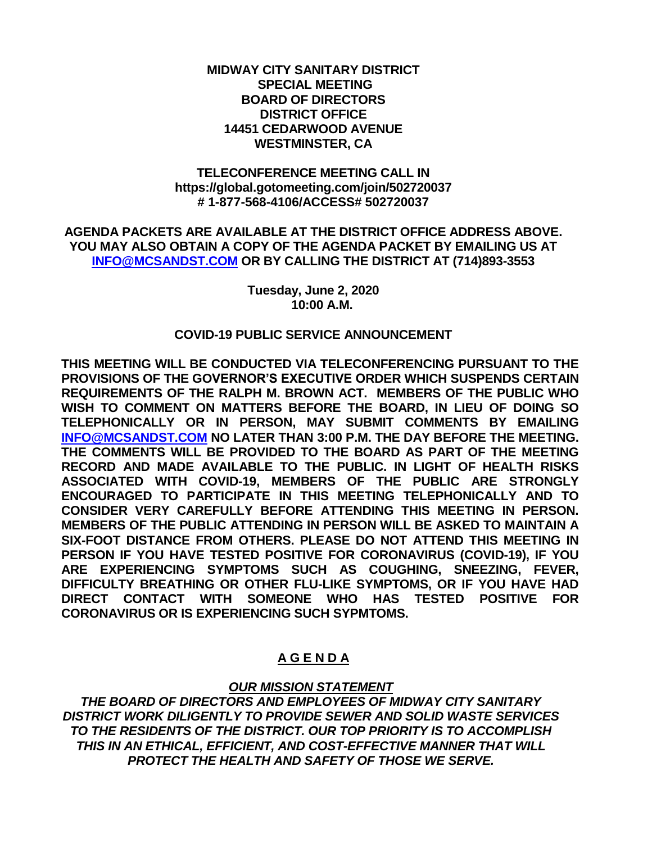## **MIDWAY CITY SANITARY DISTRICT SPECIAL MEETING BOARD OF DIRECTORS DISTRICT OFFICE 14451 CEDARWOOD AVENUE WESTMINSTER, CA**

## **TELECONFERENCE MEETING CALL IN https://global.gotomeeting.com/join/502720037 # 1-877-568-4106/ACCESS# 502720037**

**AGENDA PACKETS ARE AVAILABLE AT THE DISTRICT OFFICE ADDRESS ABOVE. YOU MAY ALSO OBTAIN A COPY OF THE AGENDA PACKET BY EMAILING US AT [INFO@MCSANDST.COM](mailto:INFO@MCSANDST.COM) OR BY CALLING THE DISTRICT AT (714)893-3553**

> **Tuesday, June 2, 2020 10:00 A.M.**

## **COVID-19 PUBLIC SERVICE ANNOUNCEMENT**

**THIS MEETING WILL BE CONDUCTED VIA TELECONFERENCING PURSUANT TO THE PROVISIONS OF THE GOVERNOR'S EXECUTIVE ORDER WHICH SUSPENDS CERTAIN REQUIREMENTS OF THE RALPH M. BROWN ACT. MEMBERS OF THE PUBLIC WHO WISH TO COMMENT ON MATTERS BEFORE THE BOARD, IN LIEU OF DOING SO TELEPHONICALLY OR IN PERSON, MAY SUBMIT COMMENTS BY EMAILING [INFO@MCSANDST.COM](mailto:INFO@MCSANDST.COM) NO LATER THAN 3:00 P.M. THE DAY BEFORE THE MEETING. THE COMMENTS WILL BE PROVIDED TO THE BOARD AS PART OF THE MEETING RECORD AND MADE AVAILABLE TO THE PUBLIC. IN LIGHT OF HEALTH RISKS ASSOCIATED WITH COVID-19, MEMBERS OF THE PUBLIC ARE STRONGLY ENCOURAGED TO PARTICIPATE IN THIS MEETING TELEPHONICALLY AND TO CONSIDER VERY CAREFULLY BEFORE ATTENDING THIS MEETING IN PERSON. MEMBERS OF THE PUBLIC ATTENDING IN PERSON WILL BE ASKED TO MAINTAIN A SIX-FOOT DISTANCE FROM OTHERS. PLEASE DO NOT ATTEND THIS MEETING IN PERSON IF YOU HAVE TESTED POSITIVE FOR CORONAVIRUS (COVID-19), IF YOU ARE EXPERIENCING SYMPTOMS SUCH AS COUGHING, SNEEZING, FEVER, DIFFICULTY BREATHING OR OTHER FLU-LIKE SYMPTOMS, OR IF YOU HAVE HAD DIRECT CONTACT WITH SOMEONE WHO HAS TESTED POSITIVE FOR CORONAVIRUS OR IS EXPERIENCING SUCH SYPMTOMS.** 

# **A G E N D A**

# *OUR MISSION STATEMENT*

*THE BOARD OF DIRECTORS AND EMPLOYEES OF MIDWAY CITY SANITARY DISTRICT WORK DILIGENTLY TO PROVIDE SEWER AND SOLID WASTE SERVICES TO THE RESIDENTS OF THE DISTRICT. OUR TOP PRIORITY IS TO ACCOMPLISH THIS IN AN ETHICAL, EFFICIENT, AND COST-EFFECTIVE MANNER THAT WILL PROTECT THE HEALTH AND SAFETY OF THOSE WE SERVE.*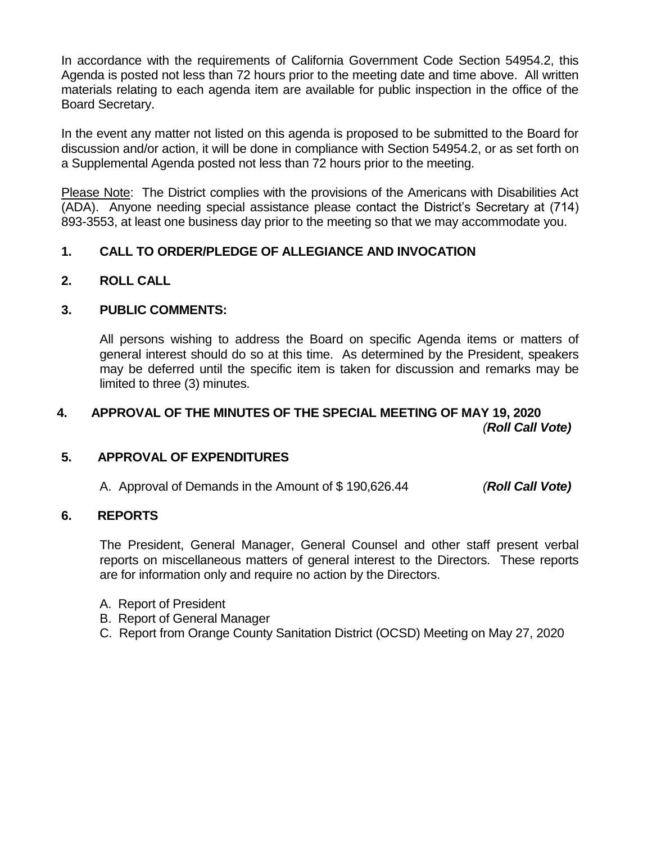In accordance with the requirements of California Government Code Section 54954.2, this Agenda is posted not less than 72 hours prior to the meeting date and time above. All written materials relating to each agenda item are available for public inspection in the office of the Board Secretary.

In the event any matter not listed on this agenda is proposed to be submitted to the Board for discussion and/or action, it will be done in compliance with Section 54954.2, or as set forth on a Supplemental Agenda posted not less than 72 hours prior to the meeting.

Please Note: The District complies with the provisions of the Americans with Disabilities Act (ADA). Anyone needing special assistance please contact the District's Secretary at (714) 893-3553, at least one business day prior to the meeting so that we may accommodate you.

# **1. CALL TO ORDER/PLEDGE OF ALLEGIANCE AND INVOCATION**

**2. ROLL CALL**

# **3. PUBLIC COMMENTS:**

All persons wishing to address the Board on specific Agenda items or matters of general interest should do so at this time. As determined by the President, speakers may be deferred until the specific item is taken for discussion and remarks may be limited to three (3) minutes.

# **4. APPROVAL OF THE MINUTES OF THE SPECIAL MEETING OF MAY 19, 2020** *(Roll Call Vote)*

# **5. APPROVAL OF EXPENDITURES**

A. Approval of Demands in the Amount of \$ 190,626.44 *(Roll Call Vote)*

## **6. REPORTS**

The President, General Manager, General Counsel and other staff present verbal reports on miscellaneous matters of general interest to the Directors. These reports are for information only and require no action by the Directors.

- A. Report of President
- B. Report of General Manager
- C. Report from Orange County Sanitation District (OCSD) Meeting on May 27, 2020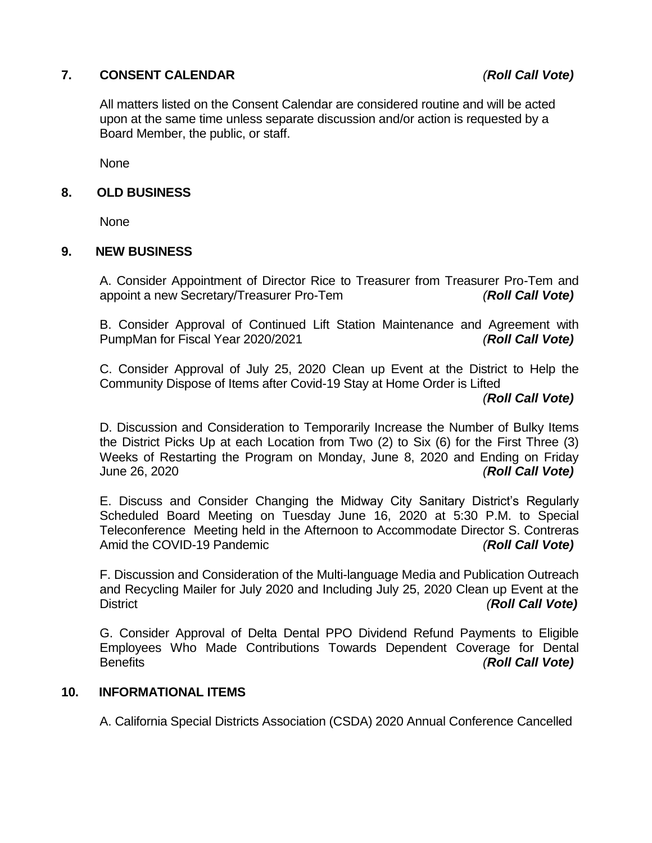# **7. CONSENT CALENDAR** *(Roll Call Vote)*

All matters listed on the Consent Calendar are considered routine and will be acted upon at the same time unless separate discussion and/or action is requested by a Board Member, the public, or staff.

None

#### **8. OLD BUSINESS**

None

#### **9. NEW BUSINESS**

A. Consider Appointment of Director Rice to Treasurer from Treasurer Pro-Tem and appoint a new Secretary/Treasurer Pro-Tem *(Roll Call Vote)*

B. Consider Approval of Continued Lift Station Maintenance and Agreement with PumpMan for Fiscal Year 2020/2021 *(Roll Call Vote)*

C. Consider Approval of July 25, 2020 Clean up Event at the District to Help the Community Dispose of Items after Covid-19 Stay at Home Order is Lifted

*(Roll Call Vote)*

D. Discussion and Consideration to Temporarily Increase the Number of Bulky Items the District Picks Up at each Location from Two (2) to Six (6) for the First Three (3) Weeks of Restarting the Program on Monday, June 8, 2020 and Ending on Friday June 26, 2020 *(Roll Call Vote)*

E. Discuss and Consider Changing the Midway City Sanitary District's Regularly Scheduled Board Meeting on Tuesday June 16, 2020 at 5:30 P.M. to Special Teleconference Meeting held in the Afternoon to Accommodate Director S. Contreras Amid the COVID-19 Pandemic *(Roll Call Vote)*

F. Discussion and Consideration of the Multi-language Media and Publication Outreach and Recycling Mailer for July 2020 and Including July 25, 2020 Clean up Event at the District *(Roll Call Vote)*

G. Consider Approval of Delta Dental PPO Dividend Refund Payments to Eligible Employees Who Made Contributions Towards Dependent Coverage for Dental Benefits *(Roll Call Vote)*

#### **10. INFORMATIONAL ITEMS**

A. California Special Districts Association (CSDA) 2020 Annual Conference Cancelled